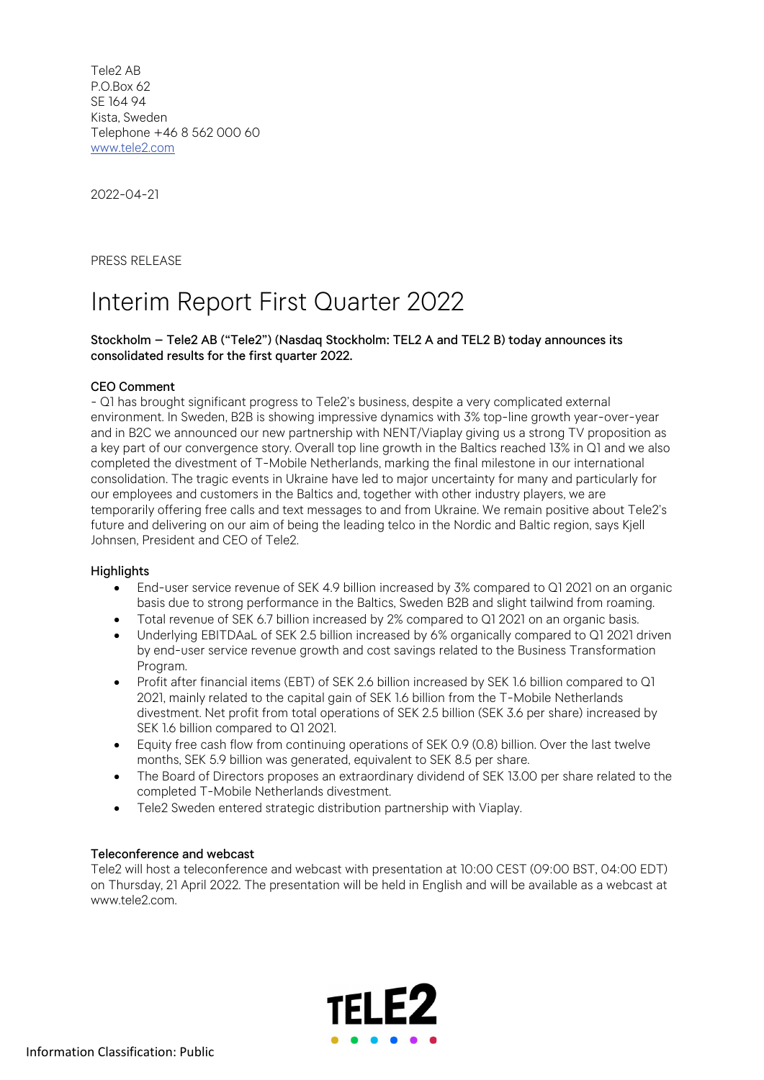Tele2 AB P.O.Box 62 SE 164 94 Kista, Sweden Telephone +46 8 562 000 60 www.tele2.com

2022-04-21

PRESS RELEASE

# Interim Report First Quarter 2022

## Stockholm – Tele2 AB ("Tele2") (Nasdaq Stockholm: TEL2 A and TEL2 B) today announces its consolidated results for the first quarter 2022.

### CEO Comment

- Q1 has brought significant progress to Tele2's business, despite a very complicated external environment. In Sweden, B2B is showing impressive dynamics with 3% top-line growth year-over-year and in B2C we announced our new partnership with NENT/Viaplay giving us a strong TV proposition as a key part of our convergence story. Overall top line growth in the Baltics reached 13% in Q1 and we also completed the divestment of T-Mobile Netherlands, marking the final milestone in our international consolidation. The tragic events in Ukraine have led to major uncertainty for many and particularly for our employees and customers in the Baltics and, together with other industry players, we are temporarily offering free calls and text messages to and from Ukraine. We remain positive about Tele2's future and delivering on our aim of being the leading telco in the Nordic and Baltic region, says Kjell Johnsen, President and CEO of Tele2.

### **Highlights**

- End-user service revenue of SEK 4.9 billion increased by 3% compared to Q1 2021 on an organic basis due to strong performance in the Baltics, Sweden B2B and slight tailwind from roaming.
- Total revenue of SEK 6.7 billion increased by 2% compared to Q1 2021 on an organic basis.
- Underlying EBITDAaL of SEK 2.5 billion increased by 6% organically compared to Q1 2021 driven by end-user service revenue growth and cost savings related to the Business Transformation Program.
- Profit after financial items (EBT) of SEK 2.6 billion increased by SEK 1.6 billion compared to Q1 2021, mainly related to the capital gain of SEK 1.6 billion from the T-Mobile Netherlands divestment. Net profit from total operations of SEK 2.5 billion (SEK 3.6 per share) increased by SEK 1.6 billion compared to Q1 2021.
- Equity free cash flow from continuing operations of SEK 0.9 (0.8) billion. Over the last twelve months, SEK 5.9 billion was generated, equivalent to SEK 8.5 per share.
- The Board of Directors proposes an extraordinary dividend of SEK 13.00 per share related to the completed T-Mobile Netherlands divestment.
- Tele2 Sweden entered strategic distribution partnership with Viaplay.

### Teleconference and webcast

Tele2 will host a teleconference and webcast with presentation at 10:00 CEST (09:00 BST, 04:00 EDT) on Thursday, 21 April 2022. The presentation will be held in English and will be available as a webcast at www.tele2.com.